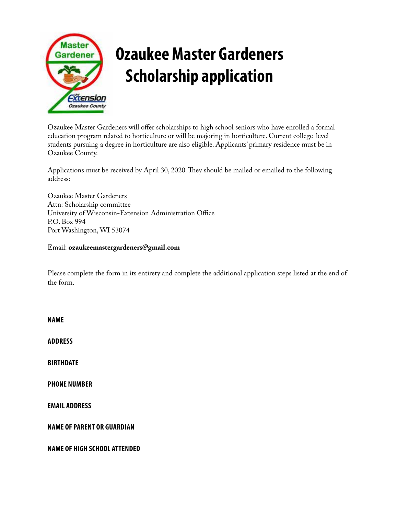

## **Ozaukee Master Gardeners Scholarship application**

Ozaukee Master Gardeners will offer scholarships to high school seniors who have enrolled a formal education program related to horticulture or will be majoring in horticulture. Current college-level students pursuing a degree in horticulture are also eligible. Applicants' primary residence must be in Ozaukee County.

Applications must be received by April 30, 2020. They should be mailed or emailed to the following address:

Ozaukee Master Gardeners Attn: Scholarship committee University of Wisconsin-Extension Administration Office P.O. Box 994 Port Washington, WI 53074

Email: **ozaukeemastergardeners@gmail.com**

Please complete the form in its entirety and complete the additional application steps listed at the end of the form.

**NAME ADDRESS BIRTHDATE PHONE NUMBER EMAIL ADDRESS NAME OF PARENT OR GUARDIAN NAME OF HIGH SCHOOL ATTENDED**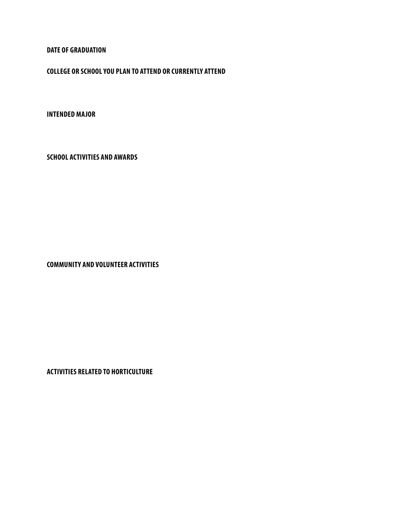**DATE OF GRADUATION**

**COLLEGE OR SCHOOL YOU PLAN TO ATTEND OR CURRENTLY ATTEND**

**INTENDED MAJOR**

**SCHOOL ACTIVITIES AND AWARDS**

**COMMUNITY AND VOLUNTEER ACTIVITIES**

**ACTIVITIES RELATED TO HORTICULTURE**